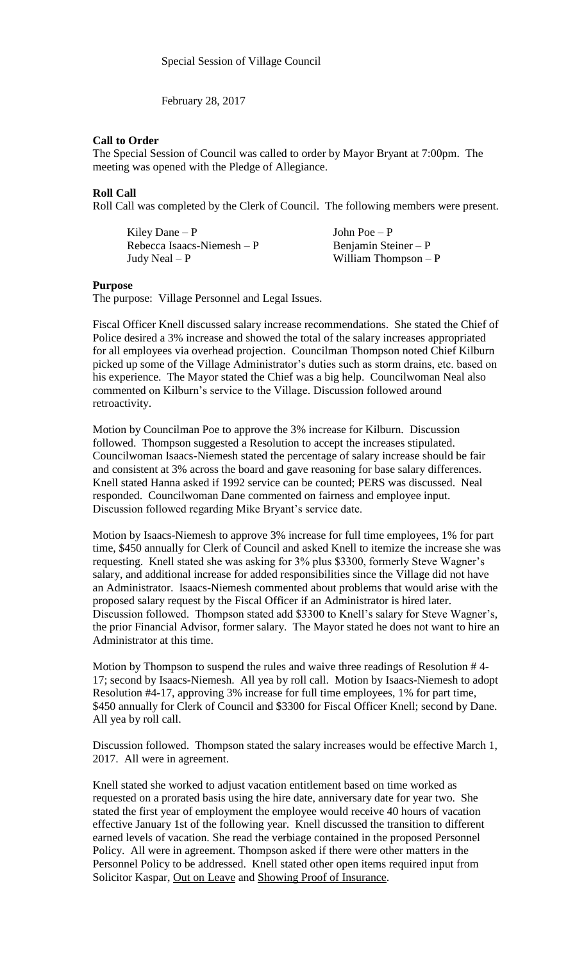February 28, 2017

## **Call to Order**

The Special Session of Council was called to order by Mayor Bryant at 7:00pm. The meeting was opened with the Pledge of Allegiance.

## **Roll Call**

Roll Call was completed by the Clerk of Council. The following members were present.

| Kiley Dane $-P$            | John Poe $-P$         |
|----------------------------|-----------------------|
| Rebecca Isaacs-Niemesh – P | Benjamin Steiner $-P$ |
| Judy Neal – P              | William Thompson $-P$ |

## **Purpose**

The purpose: Village Personnel and Legal Issues.

Fiscal Officer Knell discussed salary increase recommendations. She stated the Chief of Police desired a 3% increase and showed the total of the salary increases appropriated for all employees via overhead projection. Councilman Thompson noted Chief Kilburn picked up some of the Village Administrator's duties such as storm drains, etc. based on his experience. The Mayor stated the Chief was a big help. Councilwoman Neal also commented on Kilburn's service to the Village. Discussion followed around retroactivity.

Motion by Councilman Poe to approve the 3% increase for Kilburn. Discussion followed. Thompson suggested a Resolution to accept the increases stipulated. Councilwoman Isaacs-Niemesh stated the percentage of salary increase should be fair and consistent at 3% across the board and gave reasoning for base salary differences. Knell stated Hanna asked if 1992 service can be counted; PERS was discussed. Neal responded. Councilwoman Dane commented on fairness and employee input. Discussion followed regarding Mike Bryant's service date.

Motion by Isaacs-Niemesh to approve 3% increase for full time employees, 1% for part time, \$450 annually for Clerk of Council and asked Knell to itemize the increase she was requesting. Knell stated she was asking for 3% plus \$3300, formerly Steve Wagner's salary, and additional increase for added responsibilities since the Village did not have an Administrator. Isaacs-Niemesh commented about problems that would arise with the proposed salary request by the Fiscal Officer if an Administrator is hired later. Discussion followed. Thompson stated add \$3300 to Knell's salary for Steve Wagner's, the prior Financial Advisor, former salary. The Mayor stated he does not want to hire an Administrator at this time.

Motion by Thompson to suspend the rules and waive three readings of Resolution # 4- 17; second by Isaacs-Niemesh. All yea by roll call. Motion by Isaacs-Niemesh to adopt Resolution #4-17, approving 3% increase for full time employees, 1% for part time, \$450 annually for Clerk of Council and \$3300 for Fiscal Officer Knell; second by Dane. All yea by roll call.

Discussion followed. Thompson stated the salary increases would be effective March 1, 2017. All were in agreement.

Knell stated she worked to adjust vacation entitlement based on time worked as requested on a prorated basis using the hire date, anniversary date for year two. She stated the first year of employment the employee would receive 40 hours of vacation effective January 1st of the following year. Knell discussed the transition to different earned levels of vacation. She read the verbiage contained in the proposed Personnel Policy. All were in agreement. Thompson asked if there were other matters in the Personnel Policy to be addressed. Knell stated other open items required input from Solicitor Kaspar, Out on Leave and Showing Proof of Insurance.